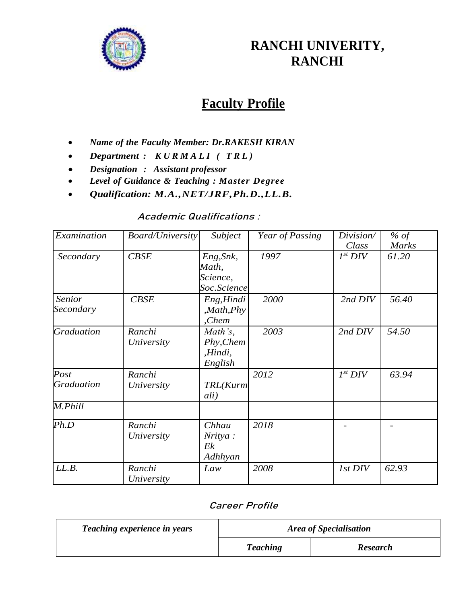

## **RANCHI UNIVERITY, RANCHI**

# **Faculty Profile**

- *Name of the Faculty Member: Dr.RAKESH KIRAN*
- *Department : K U R M A L I ( T R L )*
- *Designation : Assistant professor*
- *Level of Guidance & Teaching : Master Degree*
- *Qualification: M.A.,NET/JRF,Ph.D.,LL.B.*

## **Academic Qualifications :**

| Examination       | <b>Board/University</b> | Subject      | Year of Passing | Division/    | % of         |
|-------------------|-------------------------|--------------|-----------------|--------------|--------------|
|                   |                         |              |                 | Class        | <b>Marks</b> |
| Secondary         | CBSE                    | Eng, Snk,    | 1997            | $I^{st}$ DIV | 61.20        |
|                   |                         | Math,        |                 |              |              |
|                   |                         | Science,     |                 |              |              |
|                   |                         | Soc.Science  |                 |              |              |
| <b>Senior</b>     | CBSE                    | Eng, Hindi   | 2000            | 2nd DIV      | 56.40        |
| Secondary         |                         | , Math, Phys |                 |              |              |
|                   |                         | ,Chem        |                 |              |              |
| <b>Graduation</b> | Ranchi                  | Math's,      | 2003            | 2nd DIV      | 54.50        |
|                   | University              | Phy, Chem    |                 |              |              |
|                   |                         | ,Hindi,      |                 |              |              |
|                   |                         | English      |                 |              |              |
| Post              | Ranchi                  |              | 2012            | $I^{st}$ DIV | 63.94        |
| <b>Graduation</b> | University              | TRL(Kurm     |                 |              |              |
|                   |                         | ali)         |                 |              |              |
| M.Phill           |                         |              |                 |              |              |
| Ph.D              | Ranchi                  | Chhau        | 2018            |              |              |
|                   | University              | Nritya :     |                 |              |              |
|                   |                         | Ek           |                 |              |              |
|                   |                         | Adhhyan      |                 |              |              |
| LL.B.             | Ranchi                  | Law          | 2008            | 1st DIV      | 62.93        |
|                   | University              |              |                 |              |              |

#### **Career Profile**

| <b>Teaching experience in years</b> | <b>Area of Specialisation</b> |                 |  |
|-------------------------------------|-------------------------------|-----------------|--|
|                                     | <b>Teaching</b>               | <b>Research</b> |  |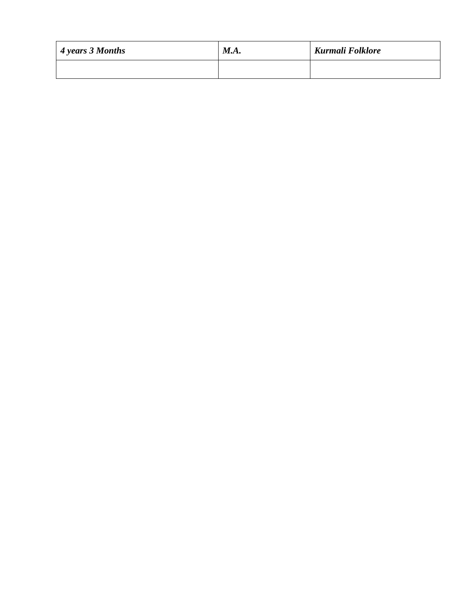| $\vert$ 4 years 3 Months | M.A. | Kurmali Folklore |
|--------------------------|------|------------------|
|                          |      |                  |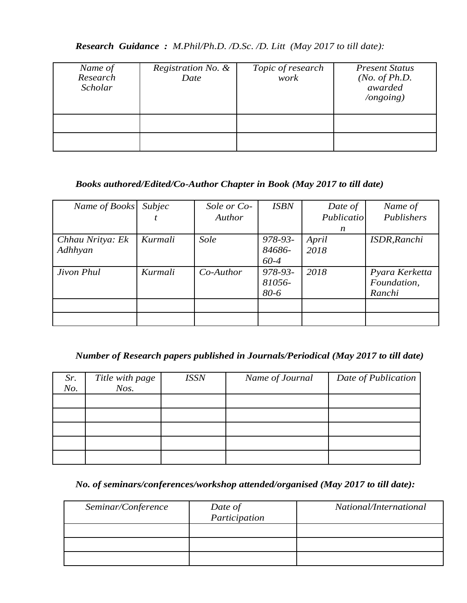*Research Guidance : M.Phil/Ph.D. /D.Sc. /D. Litt (May 2017 to till date):*

| Name of<br>Research<br>Scholar | Registration No. &<br>Date | Topic of research<br>work | <b>Present Status</b><br>( <i>No. of Ph.D.</i><br>awarded<br>$\log$ ongoing) |
|--------------------------------|----------------------------|---------------------------|------------------------------------------------------------------------------|
|                                |                            |                           |                                                                              |
|                                |                            |                           |                                                                              |

## *Books authored/Edited/Co-Author Chapter in Book (May 2017 to till date)*

| Name of Books               | Subjec  | Sole or Co- | <b>ISBN</b>                       | Date of       | Name of                                 |
|-----------------------------|---------|-------------|-----------------------------------|---------------|-----------------------------------------|
|                             |         | Author      |                                   | Publicatio    | Publishers                              |
|                             |         |             |                                   | n             |                                         |
| Chhau Nritya: Ek<br>Adhhyan | Kurmali | Sole        | 978-93-<br>84686-                 | April<br>2018 | <b>ISDR, Ranchi</b>                     |
| Jivon Phul                  | Kurmali | $Co-Author$ | 60-4<br>978-93-<br>81056-<br>80-6 | 2018          | Pyara Kerketta<br>Foundation,<br>Ranchi |
|                             |         |             |                                   |               |                                         |
|                             |         |             |                                   |               |                                         |

## *Number of Research papers published in Journals/Periodical (May 2017 to till date)*

| Sr.<br>No. | Title with page<br>$N$ os. | <b>ISSN</b> | Name of Journal | Date of Publication |
|------------|----------------------------|-------------|-----------------|---------------------|
|            |                            |             |                 |                     |
|            |                            |             |                 |                     |
|            |                            |             |                 |                     |
|            |                            |             |                 |                     |
|            |                            |             |                 |                     |

*No. of seminars/conferences/workshop attended/organised (May 2017 to till date):*

| Seminar/Conference | Date of<br>Participation | National/International |
|--------------------|--------------------------|------------------------|
|                    |                          |                        |
|                    |                          |                        |
|                    |                          |                        |